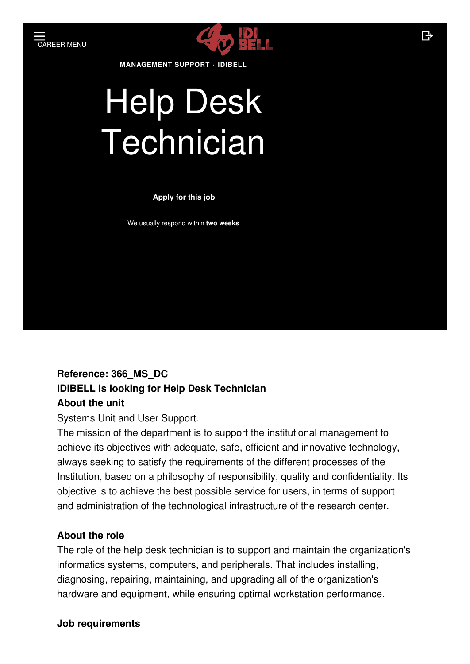

**MANAGEMENT SUPPORT · IDIBELL**

# Help Desk **Technician**

#### **Apply for this job**

We usually respond within **two weeks**

### **Reference: 366\_MS\_DC IDIBELL is looking for Help Desk Technician About the unit**

Systems Unit and User Support.

The mission of the department is to support the institutional management to achieve its objectives with adequate, safe, efficient and innovative technology, always seeking to satisfy the requirements of the different processes of the Institution, based on a philosophy of responsibility, quality and confidentiality. Its objective is to achieve the best possible service for users, in terms of support and administration of the technological infrastructure of the research center.

#### **About the role**

The role of the help desk technician is to support and maintain the organization's informatics systems, computers, and peripherals. That includes installing, diagnosing, repairing, maintaining, and upgrading all of the organization's hardware and equipment, while ensuring optimal workstation performance.

#### **Job requirements**

 $\mathbb{R}$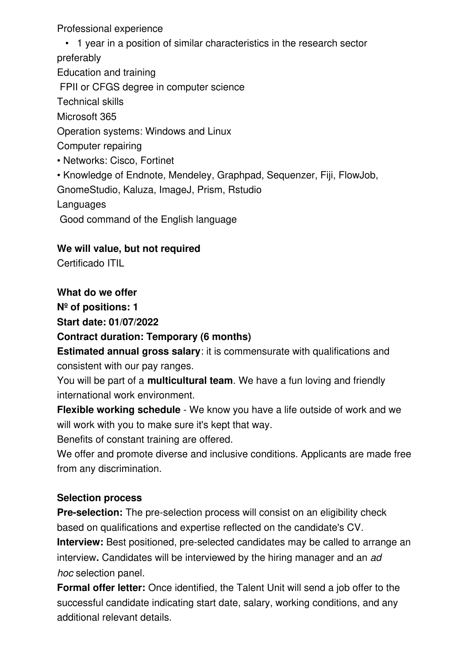Professional experience

• 1 year in a position of similar characteristics in the research sector preferably Education and training FPII or CFGS degree in computer science Technical skills Microsoft 365 Operation systems: Windows and Linux Computer repairing • Networks: Cisco, Fortinet • Knowledge of Endnote, Mendeley, Graphpad, Sequenzer, Fiji, FlowJob, GnomeStudio, Kaluza, ImageJ, Prism, Rstudio **Languages** 

Good command of the English language

#### **We will value, but not required**

Certificado ITIL

#### **What do we offer**

**Nº of positions: 1**

**Start date: 01/07/2022**

#### **Contract duration: Temporary (6 months)**

**Estimated annual gross salary**: it is commensurate with qualifications and consistent with our pay ranges.

You will be part of a **multicultural team**. We have a fun loving and friendly international work environment.

**Flexible working schedule** - We know you have a life outside of work and we will work with you to make sure it's kept that way.

Benefits of constant training are offered.

We offer and promote diverse and inclusive conditions. Applicants are made free from any discrimination.

#### **Selection process**

**Pre-selection:** The pre-selection process will consist on an eligibility check based on qualifications and expertise reflected on the candidate's CV. **Interview:** Best positioned, pre-selected candidates may be called to arrange an interview**.** Candidates will be interviewed by the hiring manager and an *ad hoc* selection panel.

**Formal offer letter:** Once identified, the Talent Unit will send a job offer to the successful candidate indicating start date, salary, working conditions, and any additional relevant details.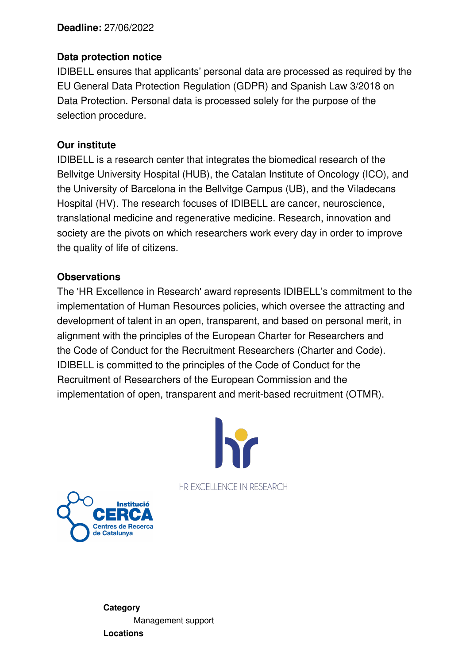#### **Deadline:** 27/06/2022

#### **Data protection notice**

IDIBELL ensures that applicants' personal data are processed as required by the EU General Data Protection Regulation (GDPR) and Spanish Law 3/2018 on Data Protection. Personal data is processed solely for the purpose of the selection procedure.

#### **Our institute**

IDIBELL is a research center that integrates the biomedical research of the Bellvitge University Hospital (HUB), the Catalan Institute of Oncology (ICO), and the University of Barcelona in the Bellvitge Campus (UB), and the Viladecans Hospital (HV). The research focuses of IDIBELL are cancer, neuroscience, translational medicine and regenerative medicine. Research, innovation and society are the pivots on which researchers work every day in order to improve the quality of life of citizens.

#### **Observations**

The 'HR [Excellence](https://idibell.cat/en/the-institute/institutional-profile/human-resources-excellence-in-research-hrs4r/) in Research' award represents IDIBELL's commitment to the implementation of Human Resources policies, which oversee the attracting and development of talent in an open, transparent, and based on personal merit, in alignment with the principles of the European Charter for [Researchers](https://euraxess.ec.europa.eu/jobs/charter/european-charter) and the Code of Conduct for the Recruitment [Researchers](https://euraxess.ec.europa.eu/jobs/charter/code) (Charter and Code). IDIBELL is committed to the principles of the Code of Conduct for the Recruitment of Researchers of the European Commission and the implementation of open, transparent and merit-based recruitment (OTMR).



HR EXCELLENCE IN RESEARCH



**Category** [Management](https://jobs.idibell.cat/departments/management-support) support **Locations**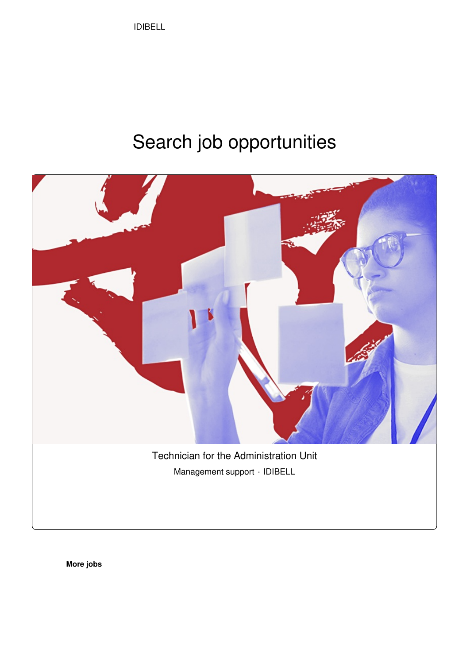IDIBELL

## Search job opportunities



**[More](https://jobs.idibell.cat/jobs) jobs**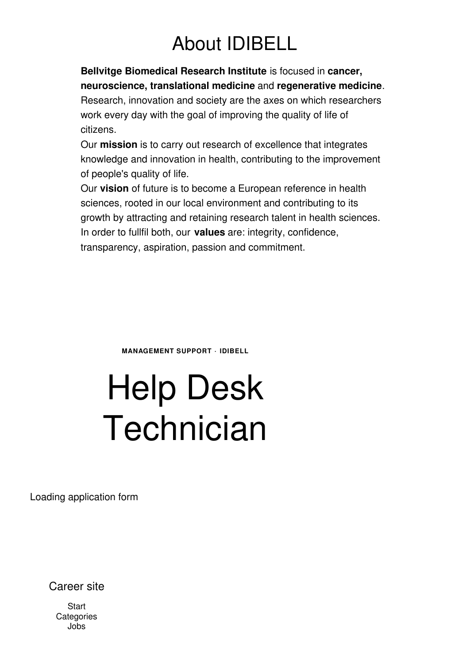## About IDIBELL

**Bellvitge [Biomedical](https://idibell.cat/es/) Research Institute** is focused in **cancer, neuroscience, translational medicine** and **regenerative medicine**.

Research, innovation and society are the axes on which researchers work every day with the goal of improving the quality of life of citizens.

Our **mission** is to carry out research of excellence that integrates knowledge and innovation in health, contributing to the improvement of people's quality of life.

Our **vision** of future is to become a European reference in health sciences, rooted in our local environment and contributing to its growth by attracting and retaining research talent in health sciences. In order to fullfil both, our **values** are: integrity, confidence, transparency, aspiration, passion and commitment.

**MANAGEMENT SUPPORT · IDIBELL**

# Help Desk Technician

Loading application form

Career site

**[Start](https://jobs.idibell.cat/) [Categories](https://jobs.idibell.cat/departments)** [Jobs](https://jobs.idibell.cat/jobs)